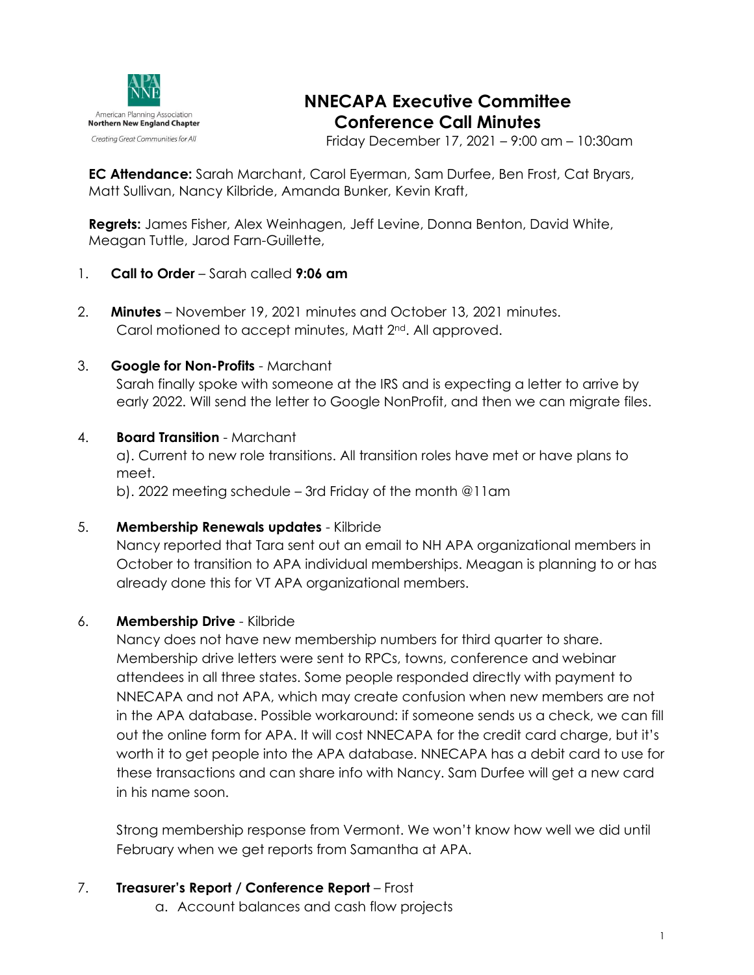

# **NNECAPA Executive Committee Conference Call Minutes**

Friday December 17, 2021 – 9:00 am – 10:30am

**EC Attendance:** Sarah Marchant, Carol Eyerman, Sam Durfee, Ben Frost, Cat Bryars, Matt Sullivan, Nancy Kilbride, Amanda Bunker, Kevin Kraft,

**Regrets:** James Fisher, Alex Weinhagen, Jeff Levine, Donna Benton, David White, Meagan Tuttle, Jarod Farn-Guillette,

- 1. **Call to Order** Sarah called **9:06 am**
- 2. **Minutes** November 19, 2021 minutes and October 13, 2021 minutes. Carol motioned to accept minutes, Matt 2<sup>nd</sup>. All approved.

#### 3. **Google for Non-Profits** - Marchant

Sarah finally spoke with someone at the IRS and is expecting a letter to arrive by early 2022. Will send the letter to Google NonProfit, and then we can migrate files.

## 4. **Board Transition** - Marchant

a). Current to new role transitions. All transition roles have met or have plans to meet.

b). 2022 meeting schedule – 3rd Friday of the month @11am

#### 5. **Membership Renewals updates** - Kilbride

Nancy reported that Tara sent out an email to NH APA organizational members in October to transition to APA individual memberships. Meagan is planning to or has already done this for VT APA organizational members.

# 6. **Membership Drive** - Kilbride

Nancy does not have new membership numbers for third quarter to share. Membership drive letters were sent to RPCs, towns, conference and webinar attendees in all three states. Some people responded directly with payment to NNECAPA and not APA, which may create confusion when new members are not in the APA database. Possible workaround: if someone sends us a check, we can fill out the online form for APA. It will cost NNECAPA for the credit card charge, but it's worth it to get people into the APA database. NNECAPA has a debit card to use for these transactions and can share info with Nancy. Sam Durfee will get a new card in his name soon.

Strong membership response from Vermont. We won't know how well we did until February when we get reports from Samantha at APA.

- 7. **Treasurer's Report / Conference Report** Frost
	- a. Account balances and cash flow projects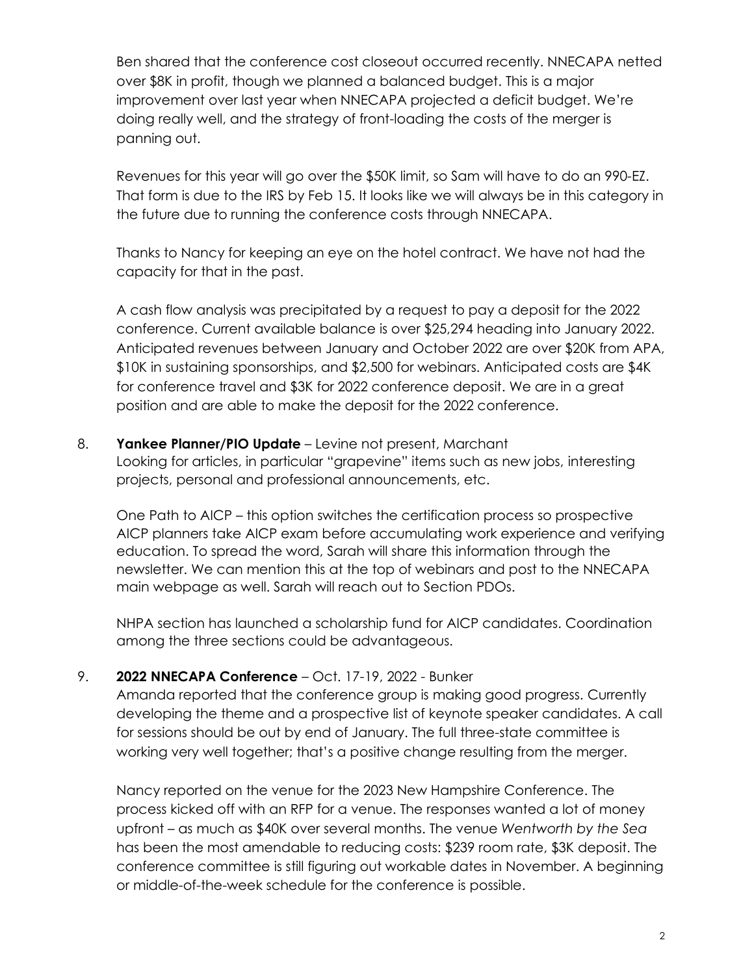Ben shared that the conference cost closeout occurred recently. NNECAPA netted over \$8K in profit, though we planned a balanced budget. This is a major improvement over last year when NNECAPA projected a deficit budget. We're doing really well, and the strategy of front-loading the costs of the merger is panning out.

Revenues for this year will go over the \$50K limit, so Sam will have to do an 990-EZ. That form is due to the IRS by Feb 15. It looks like we will always be in this category in the future due to running the conference costs through NNECAPA.

Thanks to Nancy for keeping an eye on the hotel contract. We have not had the capacity for that in the past.

A cash flow analysis was precipitated by a request to pay a deposit for the 2022 conference. Current available balance is over \$25,294 heading into January 2022. Anticipated revenues between January and October 2022 are over \$20K from APA, \$10K in sustaining sponsorships, and \$2,500 for webinars. Anticipated costs are \$4K for conference travel and \$3K for 2022 conference deposit. We are in a great position and are able to make the deposit for the 2022 conference.

8. **Yankee Planner/PIO Update** – Levine not present, Marchant Looking for articles, in particular "grapevine" items such as new jobs, interesting projects, personal and professional announcements, etc.

One Path to AICP – this option switches the certification process so prospective AICP planners take AICP exam before accumulating work experience and verifying education. To spread the word, Sarah will share this information through the newsletter. We can mention this at the top of webinars and post to the NNECAPA main webpage as well. Sarah will reach out to Section PDOs.

NHPA section has launched a scholarship fund for AICP candidates. Coordination among the three sections could be advantageous.

# 9. **2022 NNECAPA Conference** – Oct. 17-19, 2022 - Bunker

Amanda reported that the conference group is making good progress. Currently developing the theme and a prospective list of keynote speaker candidates. A call for sessions should be out by end of January. The full three-state committee is working very well together; that's a positive change resulting from the merger.

Nancy reported on the venue for the 2023 New Hampshire Conference. The process kicked off with an RFP for a venue. The responses wanted a lot of money upfront – as much as \$40K over several months. The venue *Wentworth by the Sea* has been the most amendable to reducing costs: \$239 room rate, \$3K deposit. The conference committee is still figuring out workable dates in November. A beginning or middle-of-the-week schedule for the conference is possible.